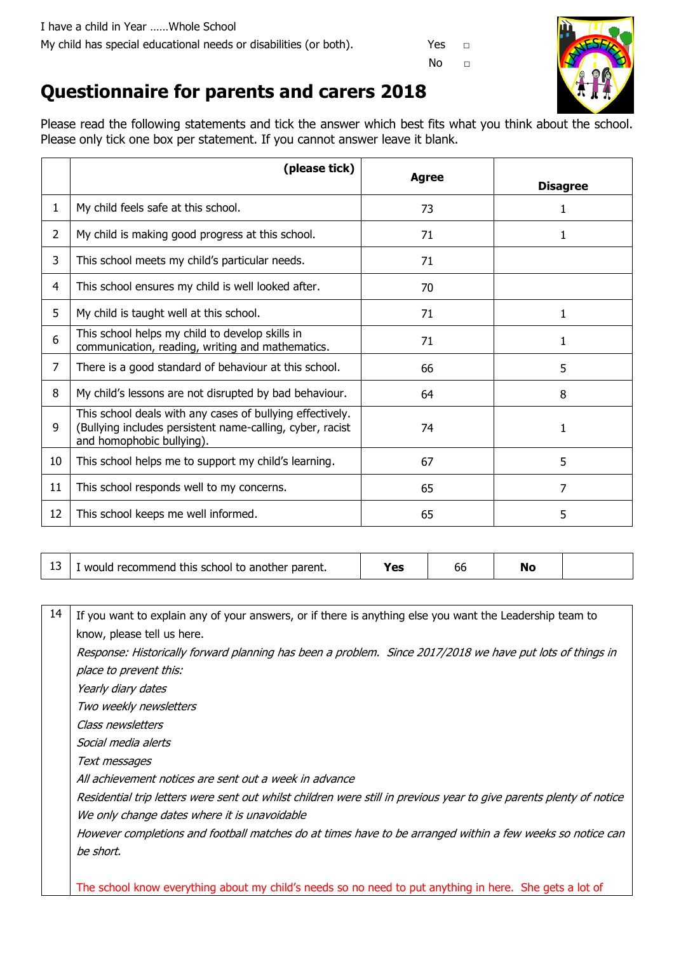

## **Questionnaire for parents and carers 2018**

Please read the following statements and tick the answer which best fits what you think about the school. Please only tick one box per statement. If you cannot answer leave it blank.

|                | (please tick)                                                                                                                                       | <b>Agree</b> | <b>Disagree</b> |
|----------------|-----------------------------------------------------------------------------------------------------------------------------------------------------|--------------|-----------------|
| $\mathbf{1}$   | My child feels safe at this school.                                                                                                                 | 73           | 1               |
| $\overline{2}$ | My child is making good progress at this school.                                                                                                    | 71           |                 |
| 3              | This school meets my child's particular needs.                                                                                                      | 71           |                 |
| 4              | This school ensures my child is well looked after.                                                                                                  | 70           |                 |
| 5              | My child is taught well at this school.                                                                                                             | 71           | 1               |
| 6              | This school helps my child to develop skills in<br>communication, reading, writing and mathematics.                                                 | 71           | 1               |
| 7              | There is a good standard of behaviour at this school.                                                                                               | 66           | 5               |
| 8              | My child's lessons are not disrupted by bad behaviour.                                                                                              | 64           | 8               |
| 9              | This school deals with any cases of bullying effectively.<br>(Bullying includes persistent name-calling, cyber, racist<br>and homophobic bullying). | 74           | 1               |
| 10             | This school helps me to support my child's learning.                                                                                                | 67           | 5               |
| 11             | This school responds well to my concerns.                                                                                                           | 65           | 7               |
| 12             | This school keeps me well informed.                                                                                                                 | 65           | 5               |

| --<br>-- | this<br>school to<br>parent.<br>recommend<br>another<br><b>WOULD</b> |  | Oτ | M. |  |
|----------|----------------------------------------------------------------------|--|----|----|--|
|----------|----------------------------------------------------------------------|--|----|----|--|

| 14 | If you want to explain any of your answers, or if there is anything else you want the Leadership team to            |  |  |
|----|---------------------------------------------------------------------------------------------------------------------|--|--|
|    | know, please tell us here.                                                                                          |  |  |
|    | Response: Historically forward planning has been a problem. Since 2017/2018 we have put lots of things in           |  |  |
|    | place to prevent this:                                                                                              |  |  |
|    | Yearly diary dates                                                                                                  |  |  |
|    | Two weekly newsletters                                                                                              |  |  |
|    | Class newsletters                                                                                                   |  |  |
|    | Social media alerts                                                                                                 |  |  |
|    | Text messages                                                                                                       |  |  |
|    | All achievement notices are sent out a week in advance                                                              |  |  |
|    | Residential trip letters were sent out whilst children were still in previous year to give parents plenty of notice |  |  |
|    | We only change dates where it is unavoidable                                                                        |  |  |
|    | However completions and football matches do at times have to be arranged within a few weeks so notice can           |  |  |
|    | be short.                                                                                                           |  |  |
|    |                                                                                                                     |  |  |
|    | The school know everything about my child's needs so no need to put anything in here. She gets a lot of             |  |  |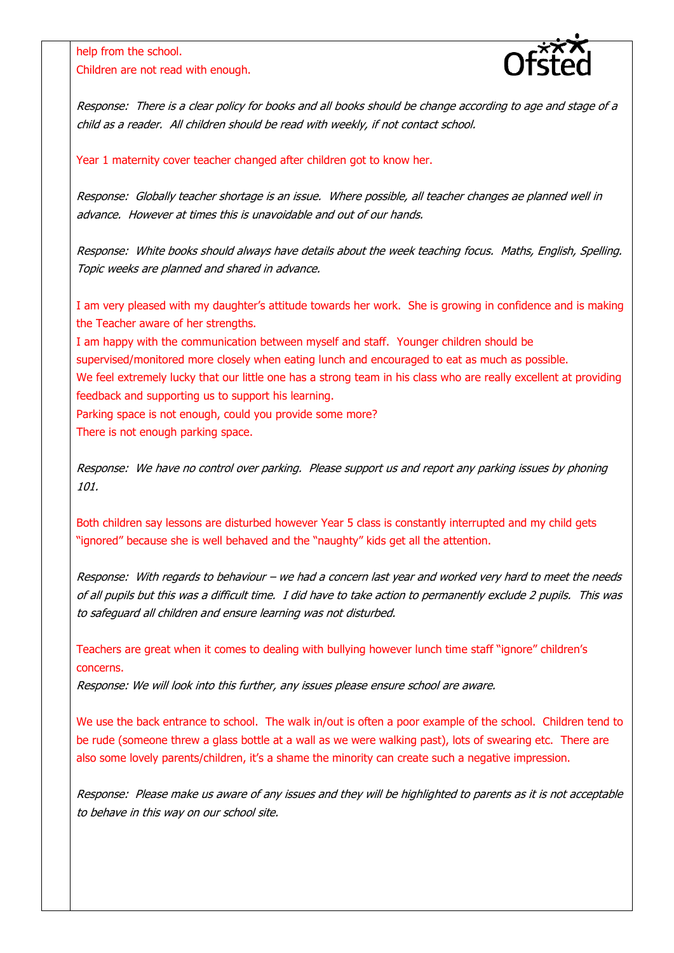help from the school. Children are not read with enough.



Response: There is a clear policy for books and all books should be change according to age and stage of a child as a reader. All children should be read with weekly, if not contact school.

Year 1 maternity cover teacher changed after children got to know her.

Response: Globally teacher shortage is an issue. Where possible, all teacher changes ae planned well in advance. However at times this is unavoidable and out of our hands.

Response: White books should always have details about the week teaching focus. Maths, English, Spelling. Topic weeks are planned and shared in advance.

I am very pleased with my daughter's attitude towards her work. She is growing in confidence and is making the Teacher aware of her strengths.

I am happy with the communication between myself and staff. Younger children should be supervised/monitored more closely when eating lunch and encouraged to eat as much as possible. We feel extremely lucky that our little one has a strong team in his class who are really excellent at providing feedback and supporting us to support his learning.

Parking space is not enough, could you provide some more?

There is not enough parking space.

Response: We have no control over parking. Please support us and report any parking issues by phoning 101.

Both children say lessons are disturbed however Year 5 class is constantly interrupted and my child gets "ignored" because she is well behaved and the "naughty" kids get all the attention.

Response: With regards to behaviour – we had a concern last year and worked very hard to meet the needs of all pupils but this was a difficult time. I did have to take action to permanently exclude 2 pupils. This was to safeguard all children and ensure learning was not disturbed.

Teachers are great when it comes to dealing with bullying however lunch time staff "ignore" children's concerns.

Response: We will look into this further, any issues please ensure school are aware.

We use the back entrance to school. The walk in/out is often a poor example of the school. Children tend to be rude (someone threw a glass bottle at a wall as we were walking past), lots of swearing etc. There are also some lovely parents/children, it's a shame the minority can create such a negative impression.

Response: Please make us aware of any issues and they will be highlighted to parents as it is not acceptable to behave in this way on our school site.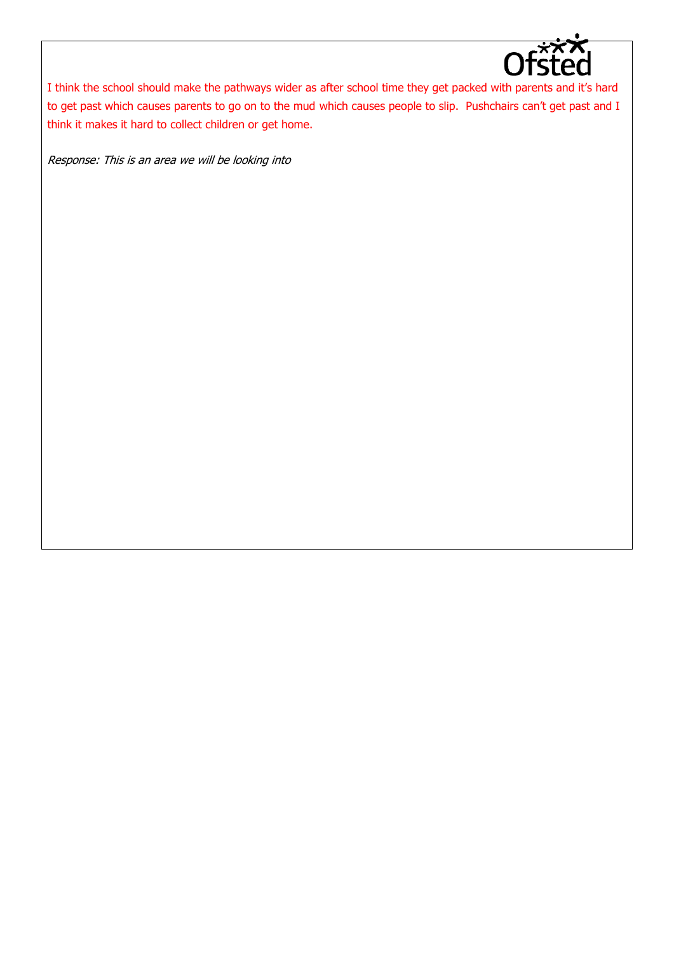

I think the school should make the pathways wider as after school time they get packed with parents and it's hard to get past which causes parents to go on to the mud which causes people to slip. Pushchairs can't get past and I think it makes it hard to collect children or get home.

Response: This is an area we will be looking into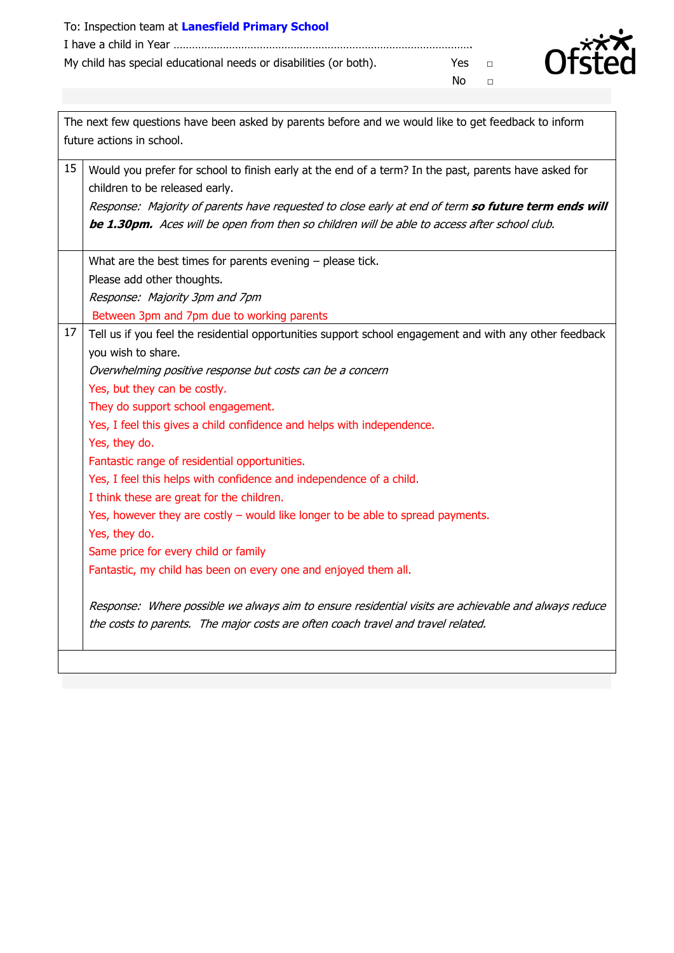| To: Inspection team at Lanesfield Primary School                  |      |        |
|-------------------------------------------------------------------|------|--------|
|                                                                   |      |        |
| My child has special educational needs or disabilities (or both). | Yes. | $\Box$ |
|                                                                   | N∩   | $\Box$ |



| The next few questions have been asked by parents before and we would like to get feedback to inform |                                                                                                                                                                                                                                                                                                                                                                                                                                                                                                                                                                                                                                                                                                                                                                                                                                                                                                                                               |  |  |  |
|------------------------------------------------------------------------------------------------------|-----------------------------------------------------------------------------------------------------------------------------------------------------------------------------------------------------------------------------------------------------------------------------------------------------------------------------------------------------------------------------------------------------------------------------------------------------------------------------------------------------------------------------------------------------------------------------------------------------------------------------------------------------------------------------------------------------------------------------------------------------------------------------------------------------------------------------------------------------------------------------------------------------------------------------------------------|--|--|--|
|                                                                                                      | future actions in school.                                                                                                                                                                                                                                                                                                                                                                                                                                                                                                                                                                                                                                                                                                                                                                                                                                                                                                                     |  |  |  |
| 15                                                                                                   | Would you prefer for school to finish early at the end of a term? In the past, parents have asked for<br>children to be released early.<br>Response: Majority of parents have requested to close early at end of term so future term ends will<br>be 1.30pm. Aces will be open from then so children will be able to access after school club.                                                                                                                                                                                                                                                                                                                                                                                                                                                                                                                                                                                                |  |  |  |
|                                                                                                      | What are the best times for parents evening $-$ please tick.<br>Please add other thoughts.<br>Response: Majority 3pm and 7pm<br>Between 3pm and 7pm due to working parents                                                                                                                                                                                                                                                                                                                                                                                                                                                                                                                                                                                                                                                                                                                                                                    |  |  |  |
| 17                                                                                                   | Tell us if you feel the residential opportunities support school engagement and with any other feedback<br>you wish to share.<br>Overwhelming positive response but costs can be a concern<br>Yes, but they can be costly.<br>They do support school engagement.<br>Yes, I feel this gives a child confidence and helps with independence.<br>Yes, they do.<br>Fantastic range of residential opportunities.<br>Yes, I feel this helps with confidence and independence of a child.<br>I think these are great for the children.<br>Yes, however they are costly $-$ would like longer to be able to spread payments.<br>Yes, they do.<br>Same price for every child or family<br>Fantastic, my child has been on every one and enjoyed them all.<br>Response: Where possible we always aim to ensure residential visits are achievable and always reduce<br>the costs to parents. The major costs are often coach travel and travel related. |  |  |  |
|                                                                                                      |                                                                                                                                                                                                                                                                                                                                                                                                                                                                                                                                                                                                                                                                                                                                                                                                                                                                                                                                               |  |  |  |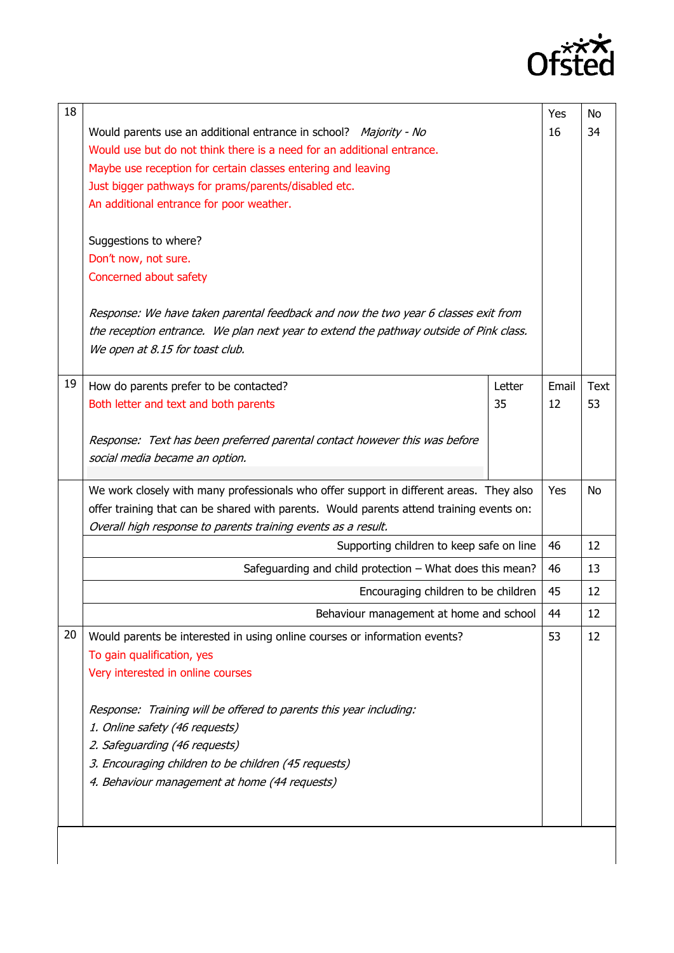

| 18 |                                                                                                                                        |        | Yes      | No   |
|----|----------------------------------------------------------------------------------------------------------------------------------------|--------|----------|------|
|    | Would parents use an additional entrance in school? Majority - No                                                                      |        |          | 34   |
|    | Would use but do not think there is a need for an additional entrance.                                                                 |        |          |      |
|    | Maybe use reception for certain classes entering and leaving                                                                           |        |          |      |
|    | Just bigger pathways for prams/parents/disabled etc.                                                                                   |        |          |      |
|    | An additional entrance for poor weather.                                                                                               |        |          |      |
|    |                                                                                                                                        |        |          |      |
|    | Suggestions to where?                                                                                                                  |        |          |      |
|    | Don't now, not sure.                                                                                                                   |        |          |      |
|    | Concerned about safety                                                                                                                 |        |          |      |
|    | Response: We have taken parental feedback and now the two year 6 classes exit from                                                     |        |          |      |
|    | the reception entrance. We plan next year to extend the pathway outside of Pink class.                                                 |        |          |      |
|    | We open at 8.15 for toast club.                                                                                                        |        |          |      |
|    |                                                                                                                                        |        |          |      |
| 19 | How do parents prefer to be contacted?                                                                                                 | Letter | Email    | Text |
|    | Both letter and text and both parents                                                                                                  | 35     | 12       | 53   |
|    |                                                                                                                                        |        |          |      |
|    | Response: Text has been preferred parental contact however this was before                                                             |        |          |      |
|    | social media became an option.                                                                                                         |        |          |      |
|    |                                                                                                                                        |        |          |      |
|    | We work closely with many professionals who offer support in different areas. They also                                                |        | Yes      | No   |
|    | offer training that can be shared with parents. Would parents attend training events on:                                               |        |          |      |
|    | Overall high response to parents training events as a result.                                                                          |        | 46       | 12   |
|    | Supporting children to keep safe on line                                                                                               |        |          |      |
|    | Safeguarding and child protection - What does this mean?                                                                               |        | 46<br>45 | 13   |
|    | Encouraging children to be children                                                                                                    |        |          | 12   |
|    | Behaviour management at home and school                                                                                                |        | 44       | 12   |
| 20 | Would parents be interested in using online courses or information events?                                                             |        | 53       | 12   |
|    | To gain qualification, yes                                                                                                             |        |          |      |
|    | Very interested in online courses                                                                                                      |        |          |      |
|    | Response: Training will be offered to parents this year including:                                                                     |        |          |      |
|    | 1. Online safety (46 requests)                                                                                                         |        |          |      |
|    | 2. Safeguarding (46 requests)<br>3. Encouraging children to be children (45 requests)<br>4. Behaviour management at home (44 requests) |        |          |      |
|    |                                                                                                                                        |        |          |      |
|    |                                                                                                                                        |        |          |      |
|    |                                                                                                                                        |        |          |      |
|    |                                                                                                                                        |        |          |      |
|    |                                                                                                                                        |        |          |      |
|    |                                                                                                                                        |        |          |      |